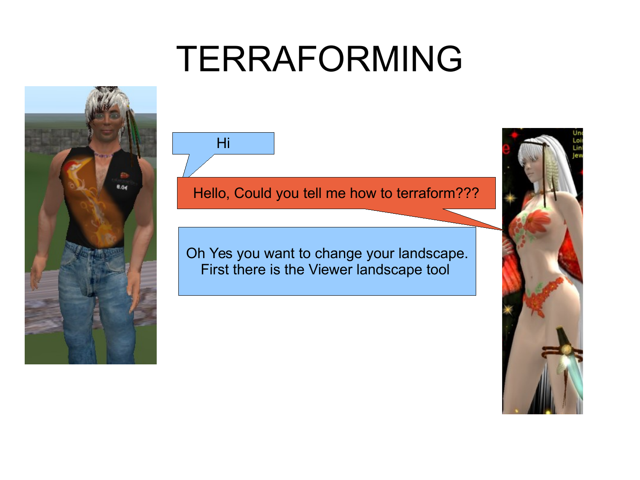## TERRAFORMING



Hi

### Hello, Could you tell me how to terraform???

Oh Yes you want to change your landscape. First there is the Viewer landscape tool

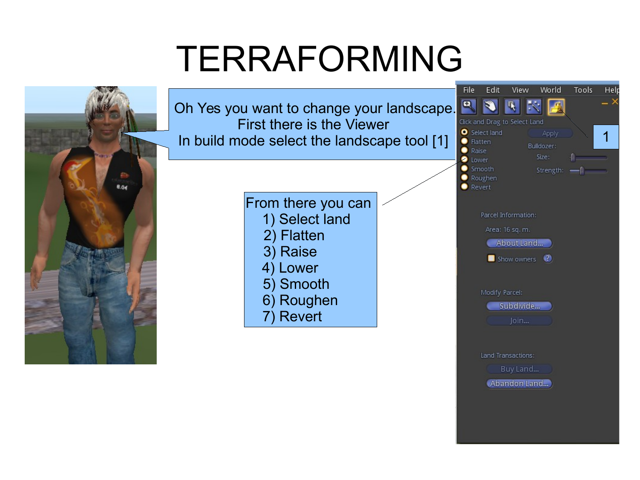## TERRAFORMING

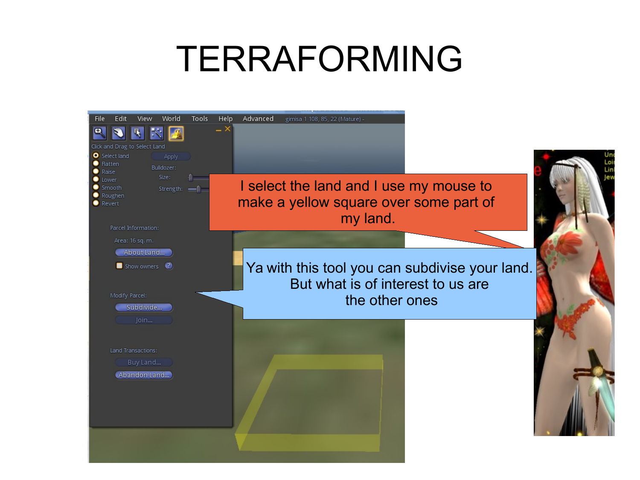## TERRAFORMING

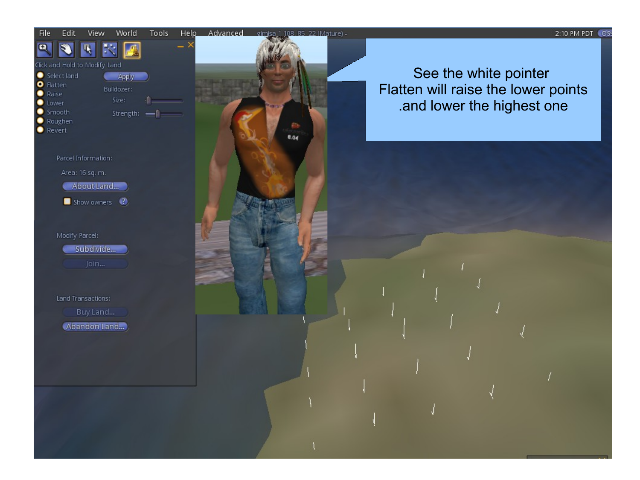#### World **Tools** Help Advanced eimisa 1 108, 85, 22 (Mature) -View

8.04

#### Click and Hold to Modify Land

 $\overline{\mathbf{A}}$ 

Edit

File  $\Box$ 

 $\bullet$  Revert

Select land Apply **O** Flatten Bulldozer:  $\bullet$  Raise Size: **O** Lower  $\bullet$  Smooth Strength:  $\frac{1}{2}$ • Roughen

Parcel Information:

Area: 16 sq. m.

About Land...

Show owners

Modify Parcel: Subdivide...

Join...

Land Transactions:

Buy Land...

Abandon Land...

See the white pointer Flatten will raise the lower points .and lower the highest one

#### 2:10 PM PDT 05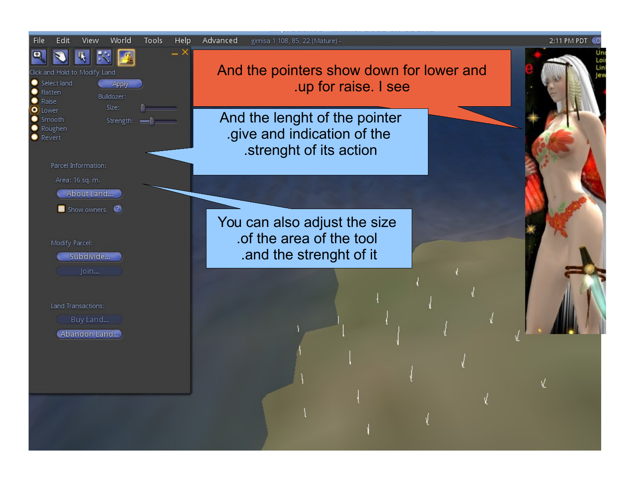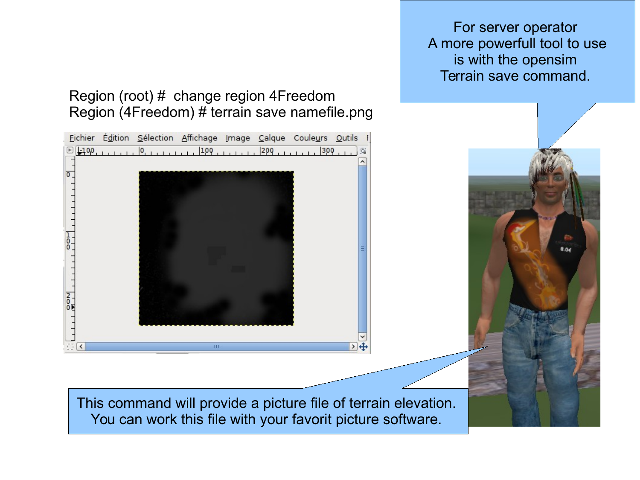For server operator A more powerfull tool to use is with the opensim Terrain save command.

### Region (root) # change region 4Freedom Region (4Freedom) # terrain save namefile.png

Fichier Édition Sélection Affichage Image Calque Couleurs Outils F 

 $\frac{1}{0}$  $\frac{2}{0}$  $\sum_{i=1}^{n}$ HТ  $\rightarrow$ This command will provide a picture file of terrain elevation. You can work this file with your favorit picture software.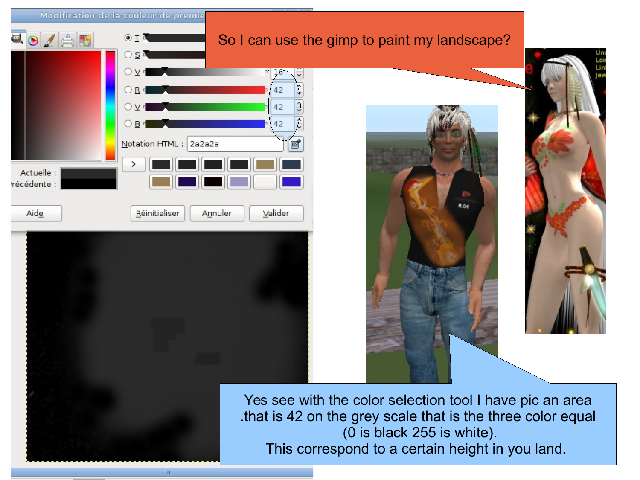|                           | Modification de la couleur de premie |                                                             |                                                                                |                  |  |
|---------------------------|--------------------------------------|-------------------------------------------------------------|--------------------------------------------------------------------------------|------------------|--|
| d<br>$9/$ A               | O I                                  |                                                             | So I can use the gimp to paint my landscape?                                   |                  |  |
|                           | $O$ $\underline{S}$ $\overline{O}$   |                                                             |                                                                                | Un<br>Loi<br>Lin |  |
|                           |                                      | 42                                                          |                                                                                |                  |  |
|                           |                                      | 42                                                          |                                                                                |                  |  |
|                           | B<br>Notation HTML:<br>2a2a2a        | 42<br>ď                                                     |                                                                                |                  |  |
|                           |                                      |                                                             |                                                                                |                  |  |
| Actuelle :<br>récédente : |                                      |                                                             |                                                                                |                  |  |
| Aide                      | Réinitialiser<br>Annuler             | Valider                                                     | 8.04                                                                           |                  |  |
|                           |                                      |                                                             |                                                                                |                  |  |
|                           |                                      |                                                             |                                                                                |                  |  |
|                           |                                      |                                                             |                                                                                |                  |  |
|                           |                                      |                                                             |                                                                                |                  |  |
|                           |                                      |                                                             |                                                                                |                  |  |
|                           |                                      |                                                             |                                                                                |                  |  |
|                           |                                      |                                                             |                                                                                |                  |  |
|                           |                                      |                                                             | Yes see with the color selection tool I have pic an area                       |                  |  |
|                           |                                      | that is 42 on the grey scale that is the three color equal. |                                                                                |                  |  |
|                           |                                      |                                                             | (0 is black 255 is white).<br>This correspond to a certain height in you land. |                  |  |
|                           |                                      |                                                             |                                                                                |                  |  |

 $\langle 10 \rangle$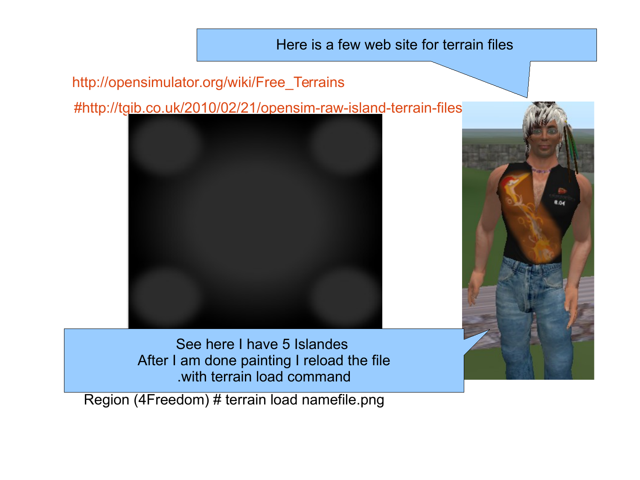### Here is a few web site for terrain files

## [http://opensimulator.org/wiki/Free\\_Terrains](file:///home/gimisa/Desktop/%23http:%2F%2Fopensimulator.org%2Fwiki%2FFree_Terrains)

[#http://tgib.co.uk/2010/02/21/opensim-raw-island-terrain-files/](file:///home/gimisa/Desktop/%23http:%2F%2Ftgib.co.uk%2F2010%2F02%2F21%2Fopensim-raw-island-terrain-files%2F)





See here I have 5 Islandes After I am done painting I reload the file .with terrain load command

Region (4Freedom) # terrain load namefile.png